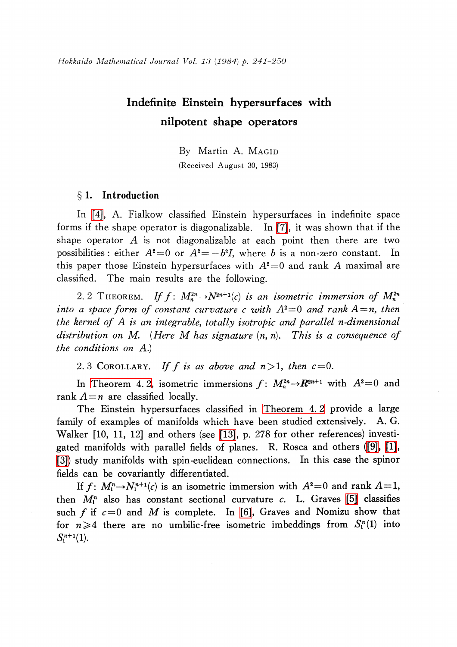# Indefinite Einstein hypersurfaces with nilpotent shape operators

By Martin A. MAGID (Received August 30, 1983)

### $\S 1.$  Introduction

In [\[4\],](#page-8-0) A. Fialkow classified Einstein hypersurfaces in indefinite space forms if the shape operator is diagonalizable. In [\[7\],](#page-9-0) it was shown that if the shape operator  $A$  is not diagonalizable at each point then there are two possibilities: either  $A^{2}=0$  or  $A^{2}=-b^{2}I$ , where b is a non-zero constant. In this paper those Einstein hypersurfaces with  $A^{2}=0$  and rank A maximal are classified. The main results are the following.

<span id="page-0-0"></span>2. 2 THEOREM. If  $f: M_{n}^{2n}\rightarrow N^{2n+1}(c)$  is an isometric immersion of  $M_{n}^{2n}$ into a space form of constant curvature c with  $A^{2}=0$  and rank  $A=n$ , then the kernel of A is an integrable, totally isotropic and parallel n-dimensional distribution on M. (Here M has signature  $(n, n)$ . This is a consequence of the conditions on A.)

2. 3 COROLLARY. If f is as above and  $n > 1$ , then  $c = 0$ .

In [Theorem](#page-6-0) 4.2, isometric immersions  $f: M_{n}^{2n}\rightarrow R^{2n+1}$  with  $A^{2}=0$  and rank  $A=n$  are classified locally.

The Einstein hypersurfaces classified in [Theorem](#page-6-0) 4. 2 provide a large family of examples of manifolds which have been studied extensively. A. G. Walker [10, 11, 12] and others (see [\[13\],](#page-9-1) p. 278 for other references) investigated manifolds with parallel fields of planes. R. Rosca and others [\(\[9\],](#page-9-2) [\[1\],](#page-8-1) [\[3\]\)](#page-8-2) study manifolds with spin-euclidean connections. In this case the spinor fields can be covariantly differentiated.

If  $f: M_{1}^{n}\rightarrow N_{1}^{n+1}(c)$  is an isometric immersion with  $A^{2}=0$  and rank  $A=1$ , then  $M_{1}^{n}$  also has constant sectional curvature c. L. Graves [\[5\]](#page-8-3) classifies such f if  $c=0$  and M is complete. In [\[6\],](#page-8-4) Graves and Nomizu show that<br>for  $n \ge 4$  there are no umbilic-free isometric imbeddings from  $S<sup>n</sup>(1)$  into for  $n\geq 4$  there are no umbilic-free isometric imbeddings from  $S_{1}^{n}(1)$  into  $\mathcal{S}_{1}^{n+1}(1).$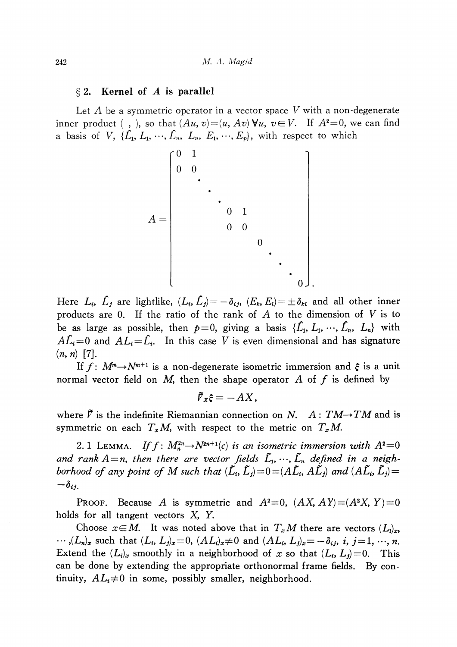#### $\S 2.$  Kernel of A is parallel

Let A be a symmetric operator in a vector space V with a non-degenerate inner product (, ), so that  $(Au, v) = (u, Av)\forall u, v\in V$ . If  $A^{2}=0$ , we can find a basis of V, { $\mathcal{L}_{1},$   $L_{1},$   $\cdots$ ,  $\mathcal{L}_{n},$   $L_{n},$   $E_{1},$   $\cdots$ ,  $E_{p}\rangle$ , with respect to which

> $A=\vert$  $\boldsymbol{0}$  $\bullet$  $\blacksquare$ 0]

Here  $L_{i}$ ,  $\hat{L}_{j}$  are lightlike,  $(L_{i}$ ,  $\hat{L}_{j})$   $=$   $-\delta_{ij}$ ,  $(E_{k}, E_{l})$   $=$   $\pm\delta_{kl}$  and all other inner products are 0. If the ratio of the rank of  $A$  to the dimension of  $V$  is to be as large as possible, then  $p=0$ , giving a basis  $\{L_{\mathbf{1}}, L_{\mathbf{1}}, \dots, L_{\mathbf{n}}, L_{\mathbf{n}}\}$  with  $A L_{i} {=} 0$  and  $A L_{i} {=} \dot{L}_{i}$ . In this case  $V$  is even dimensional and has signature  $(n, n)$  [7].

If  $f: M^{m} \rightarrow N^{m+1}$  is a non-degenerate isometric immersion and  $\xi$  is a unit normal vector field on  $M$ , then the shape operator  $A$  of  $f$  is defined by

$$
\tilde{\mathcal{V}}_{X}\xi=-AX,
$$

where  $\vec{V}$  is the indefinite Riemannian connection on N.  $A:TM\rightarrow TM$  and is symmetric on each  $T_{x}M$ , with respect to the metric on  $T_{x}M$ .

2. 1 LEMMA. If  $f: M_{n}^{2n}\rightarrow N^{2n+1}(c)$  is an isometric immersion with  $A^{2}=0$ and  $\tau$ ank  $A\!=$ n, then there are vector fields  $\tilde{L}_{1},\, \cdots,\,\tilde{L}_{n}$  defined in a neighborhood of any point of M such that  $(\tilde{L}_{i},\tilde{L}_{j})=0=(\tilde{A}\tilde{L}_{i},\tilde{A}\tilde{L}_{j})$  and  $(\tilde{A}\tilde{L}_{i},\tilde{L}_{j})=0$  $-o_{ij}$ .

PROOF. Because A is symmetric and  $A^{2}=0$ ,  $(AX, A Y) = (A^{2}X, Y)=0$ holds for all tangent vectors X, Y.

Choose  $x{\in}M$ . It was noted above that in  $T_{x}M$  there are vectors  $(L_{1})_{x}$ ,  $\ldots,(L_{n})_{x}$  such that  $(L_{i}, L_{j})_{x}=0$ ,  $(A L_{i})_{x}\neq 0$  and  $(A L_{i}, L_{j})_{x}=-\delta_{ij},$  i,  $j=1, \cdots, n$ . Extend the  $(L_{i})_{x}$  smoothly in a neighborhood of x so that  $(L_{i}, L_{j})=0$ . This can be done by extending the appropriate orthonormal frame fields. By continuity,  $AL_{i}\neq 0$  in some, possibly smaller, neighborhood.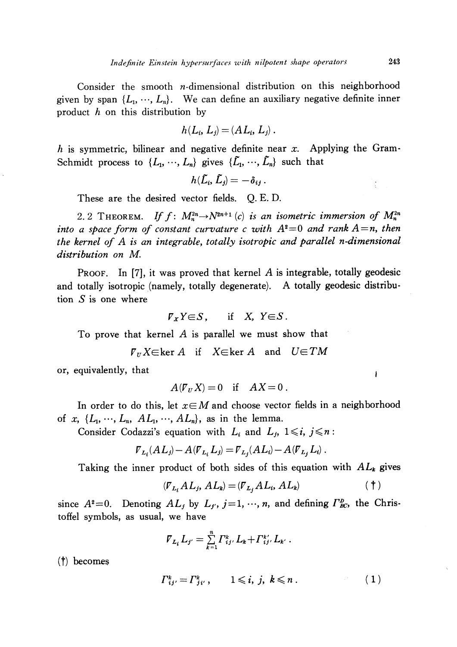Consider the smooth  $n$ -dimensional distribution on this neighborhood given by span  $\{L_{1},\cdots,$   $L_{n}\}$ . We can define an auxiliary negative definite inner product h on this distribution by

$$
h(L_i, L_j) = (AL_i, L_j).
$$

h is symmetric, bilinear and negative definite near  $x$ . Applying the Gram-Schmidt process to  $\{L_{1}, \ldots, L_{n}\}$  gives  $\{\tilde{L}_{1}, \ldots, \tilde{L}_{n}\}$  such that

 $h(L_{i},\,L_{j})=-\,\theta_{ij}$ .

These are the desired vector fields. Q. E. D.

2. 2 THEOREM. If  $f: M_{n}^{2n}\rightarrow N^{2n+1}(c)$  is an isometric immersion of  $M_{n}^{2n}$ into a space form of constant curvature c with  $A^{2}=0$  and rank  $A=n$ , then the kernel of A is an integrable, totally isotropic and parallel n-dimensional distribution on M.

PROOF. In [7], it was proved that kernel A is integrable, totally geodesic and totally isotropic (namely, totally degenerate). A totally geodesic distribution  $S$  is one where

$$
\mathcal{F}_X Y \in S, \quad \text{if} \quad X, \ Y \in S.
$$

To prove that kernel A is parallel we must show that

 $\nabla_{U}X\in \ker A$  if  $X\in \ker A$  and  $U\in TM$ 

or, equivalently, that

$$
A(\mathcal{F}_U X) = 0 \quad \text{if} \quad AX = 0 \; .
$$

In order to do this, let  $x\in M$  and choose vector fields in a neighborhood of x,  $\{L_{1}, \ldots, L_{n}, A L_{1}, \ldots, A L_{n}\}$ , as in the lemma.

Consider Codazzi's equation with  $L_{i}$  and  $L_{j}$ ,  $1\leq i, j\leq n$ :

$$
\mathcal{V}_{L_i}(AL_j) - A(\mathcal{V}_{L_i}L_j) = \mathcal{V}_{L_j}(AL_i) - A(\mathcal{V}_{L_j}L_i).
$$

Taking the inner product of both sides of this equation with  $AL_{k}$  gives

$$
(\mathcal{F}_{L_i} A L_j, A L_k) = (\mathcal{F}_{L_j} A L_i, A L_k)
$$
 (†)

since  $A^{2}=0$ . Denoting  $AL_{j}$  by  $L_{j'}$ ,  $j=1, \dots, n$ , and defining  $\Gamma_{BC}^{D}$ , the Christoffel symbols, as usual, we have

$$
\bar{V}_{L_i} L_{j'} = \sum_{k=1}^n \Gamma_{ij}^k, L_k + \Gamma_{ij}^{k'}, L_{k'}.
$$

 $(\dagger)$  becomes

$$
\Gamma_{ij}^k = \Gamma_{ji}^k, \qquad 1 \leqslant i, j, k \leqslant n \,.
$$
 (1)

 $\pmb{\mathfrak{f}}$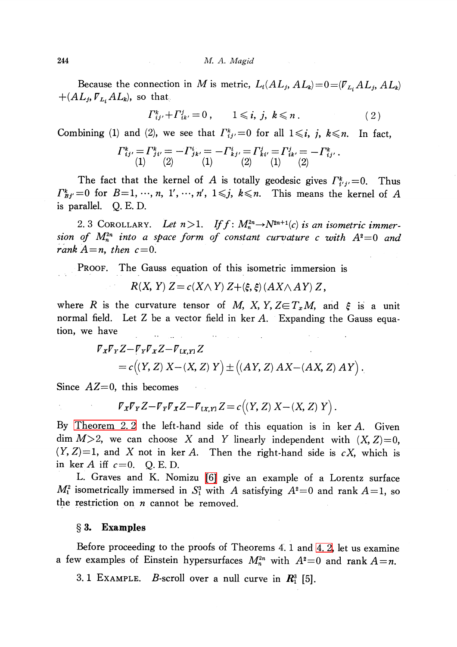Because the connection in M is metric,  $L_{i}(AL_{j}, AL_{k})=0=({\overline{V}}_{L_{i}}AL_{j}, AL_{k})$  $+(AL_{j}, \overline{V}_{L_{i}}AL_{k})$ , so that

$$
\Gamma_{ij'}^k + \Gamma_{ik'}^j = 0 \,, \qquad 1 \leqslant i, \, j, \, k \leqslant n \,. \tag{2}
$$

Combining (1) and (2), we see that  $\Gamma_{ij}^{k}$  =0 for all  $1\leqslant i, \ j, \ k\leqslant n$ . In fact,

$$
\Gamma_{ij}^k = \Gamma_{ji}^k = -\Gamma_{jk}^i = -\Gamma_{kj}^i = \Gamma_{kj}^j = \Gamma_{ki}^j = \Gamma_{ik}^j = -\Gamma_{ij}^k.
$$
  
(1) (2) (1) (2) (1) (2)

The fact that the kernel of A is totally geodesic gives  $\Gamma_{i'j'}^{k}=0$ . Thus  $\Gamma_{Bj'}^{k}=0$  for  $B=1 , \ldots , n, 1', \ldots , n', 1\leqslant j, k\leqslant n$ . This means the kernel of A is parallel. Q. E. D.

2. 3 COROLLARY. Let  $n>1$ . If  $f: M_{n}^{2n}\rightarrow N^{2n+1}(c)$  is an isometric immersion of  $M_{n}^{2n}$  into a space form of constant curvature c with  $A^{2}=0$  and rank  $A=n$ , then  $c=0$ .

PROOF. The Gauss equation of this isometric immersion is

$$
R(X, Y) Z = c(X \wedge Y) Z + \langle \xi, \xi \rangle (AX \wedge AY) Z,
$$

where R is the curvature tensor of M, X, Y,  $Z \in T_{x}M$ , and  $\xi$  is a unit normal field. Let Z be a vector field in ker  $A$ . Expanding the Gauss equation, we have  $\sim 10^{11}$  km s  $^{-1}$ 

$$
\begin{aligned} \nabla_X \nabla_Y Z - \nabla_Y \nabla_X Z - \nabla_{(X,Y)} Z \\ \n&= c((Y,Z) \ X - (X,Z) \ Y \big) \pm ((AY,Z) \ AX - (AX,Z) \ A \ Y \big) \ . \n\end{aligned}
$$

Since  $AZ=0$ , this becomes

$$
\nabla_X \nabla_Y Z - \nabla_Y \nabla_X Z - \nabla_{[X,Y]} Z = c((Y,Z) X - (X,Z) Y).
$$

 $\mathcal{L}^{\text{max}}_{\text{max}}$  .

By [Theorem](#page-0-0) 2.2 the left-hand side of this equation is in  $\ker A$ . Given dim  $M>2$ , we can choose X and Y linearly independent with  $(X, Z)=0$ ,  $(Y, Z)=1$ , and X not in ker A. Then the right-hand side is cX, which is in ker A iff  $c=0$ . Q. E. D.

L. Graves and K. Nomizu [\[6\]](#page-8-4) give an example of a Lorentz surface  $M_{1}^{2}$  isometrically immersed in  $S_{1}^{3}$  with A satisfying  $A^{2}=0$  and rank  $A=1$ , so the restriction on  $n$  cannot be removed.

#### $\S 3.$  Examples

Before proceeding to the proofs of Theorems 4. <sup>1</sup> and [4.](#page-6-0) 2, let us examine a few examples of Einstein hypersurfaces  $M_{n}^{2n}$  with  $A^{2}=0$  and rank  $A=n$ .

3. 1 EXAMPLE. B-scroll over a null curve in  $\mathbb{R}_{1}^{3}$  [5].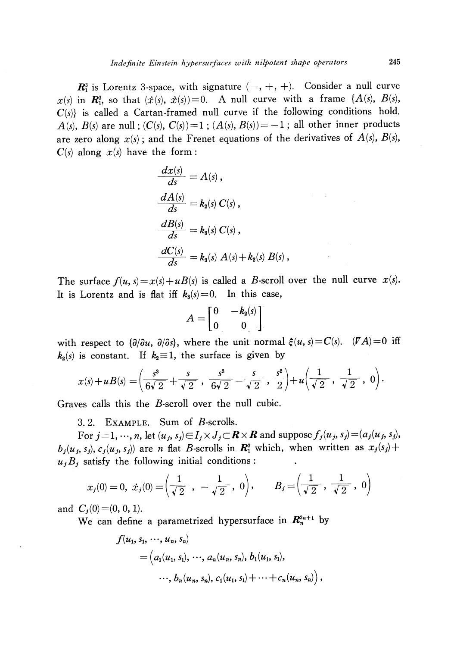$\mathbb{R}_{1}^{3}$  is Lorentz 3-space, with signature  $(-, +, +)$ . Consider a null curve  $x(s)$  in  $\mathbb{R}_{1}^{3}$ , so that  $(\dot{x}(s),\dot{x}(s))=0$ . A null curve with a frame  $\{A(s), B(s),\dot{x}(s)\}$  $C(s)$  is called a Cartan-framed null curve if the following conditions hold. A(s), B(s) are null;  $(C(s), C(s))=1$ ;  $(A(s), B(s))=-1$ ; all other inner products are zero along  $x(s)$ ; and the Frenet equations of the derivatives of  $A(s)$ ,  $B(s)$ ,  $C(s)$  along  $x(s)$  have the form:

$$
\begin{aligned}\n\frac{dx(s)}{ds} &= A(s), \\
\frac{dA(s)}{ds} &= k_2(s) C(s), \\
\frac{dB(s)}{ds} &= k_3(s) C(s), \\
\frac{dC(s)}{ds} &= k_3(s) A(s) + k_2(s) B(s),\n\end{aligned}
$$

The surface  $f(u, s) = x(s) + u(s)$  is called a B-scroll over the null curve  $x(s)$ . It is Lorentz and is flat iff  $k_{3}(s)=0$ . In this case,

$$
A = \begin{bmatrix} 0 & -k_2(s) \\ 0 & 0 \end{bmatrix}
$$

with respect to  $\{\partial/\partial u, \ \partial/\partial s\}$ , where the unit normal  $\xi(u, s)=C(s)$ .  $(\mathit{FA})=0$  iff  $k_{\scriptscriptstyle 2}(s)$  is constant. If  $k_{\scriptscriptstyle 2} {\equiv} 1,$  the surface is given by

$$
x(s) + u(s) = \left(\frac{s^3}{6\sqrt{2}} + \frac{s}{\sqrt{2}}, \frac{s^3}{6\sqrt{2}} - \frac{s}{\sqrt{2}}, \frac{s^2}{2}\right) + u\left(\frac{1}{\sqrt{2}}, \frac{1}{\sqrt{2}}, 0\right).
$$

Graves calls this the B-scroll over the null cubic.

3.2. EXAMPLE. Sum of B-scrolls.

For  $j$   $=$   $1, \cdots, n,$  let  $(u_{j}, s_{j})$   $\in$   $I_{j}\times J_{j}$   $\subset$   $\boldsymbol{R}\times \boldsymbol{R}$  and suppose  $f_{j}(u_{j}, s_{j})$   $=$   $(a_{j}(u_{j}, s_{j}) ,$  $b_{j}(u_{j}, s_{j}), c_{j}(u_{j}, s_{j})$  are n flat B-scrolls in  $\mathbb{R}_{1}^{3}$  which, when written as  $x_{j}(s_{j})+$  $u_{j}B_{j}$  satisfy the following initial conditions:

$$
x_j(0) = 0, \ \dot{x}_j(0) = \left(\frac{1}{\sqrt{2}}, -\frac{1}{\sqrt{2}}, 0\right), \qquad B_j = \left(\frac{1}{\sqrt{2}}, \frac{1}{\sqrt{2}}, 0\right)
$$

and  $C_{i}(0)=(0, 0, 1)$ .

We can define a parametrized hypersurface in  $\mathbb{R}_{n}^{2n+1}$  by

$$
f(u_1, s_1, \cdots, u_n, s_n)
$$
  
=  $(a_1(u_1, s_1), \cdots, a_n(u_n, s_n), b_1(u_1, s_1),$   
 $\cdots, b_n(u_n, s_n), c_1(u_1, s_1) + \cdots + c_n(u_n, s_n)),$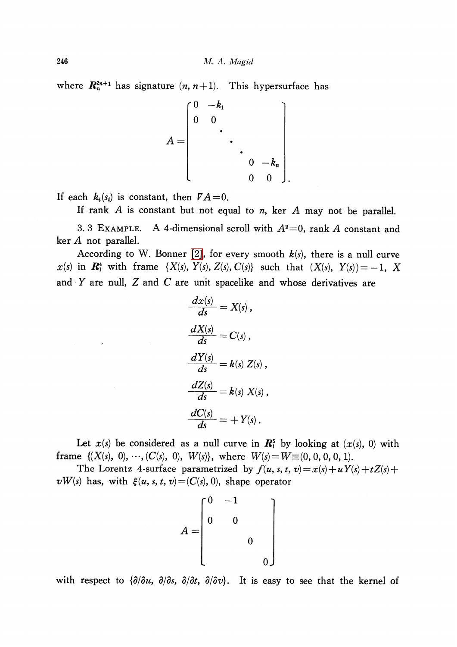where  $\mathbf{R}_{n}^{2n+1}$  has signature  $(n, n+1)$ . This hypersurface has

$$
A = \begin{bmatrix} 0 & -k_1 & & & \\ 0 & 0 & & & \\ & & \ddots & & \\ & & & 0 & -k_n \\ & & & & 0 & 0 \end{bmatrix}
$$

If each  $k_i(s_i)$  is constant, then  $\mathit{FA}=0$ .

 $\mathcal{L}^{\text{max}}_{\text{max}}$  , where  $\mathcal{L}^{\text{max}}_{\text{max}}$ 

 $\sim$ 

If rank A is constant but not equal to  $n$ , ker A may not be parallel.

3. 3 EXAMPLE. A 4-dimensional scroll with  $A^{2}=0$ , rank A constant and ker A not parallel.

According to W. Bonner [\[2\],](#page-8-5) for every smooth  $k(s)$ , there is a null curve  $x(s)$  in  $\mathbb{R}_{1}^{4}$  with frame  $\{X(s), Y(s), Z(s), C(s)\}$  such that  $(X(s), Y(s))=-1, X$ and  $Y$  are null,  $Z$  and  $C$  are unit spacelike and whose derivatives are

$$
\frac{dx(s)}{ds} = X(s),
$$
  
\n
$$
\frac{dX(s)}{ds} = C(s),
$$
  
\n
$$
\frac{dY(s)}{ds} = k(s) Z(s),
$$
  
\n
$$
\frac{dZ(s)}{ds} = k(s) X(s),
$$
  
\n
$$
\frac{dC(s)}{ds} = + Y(s).
$$

Let  $x(s)$  be considered as a null curve in  $\mathbf{R}_{1}^{5}$  by looking at  $(x(s), 0)$  with frame  $\{(X(s), 0), \cdots, (C(s), 0), W(s)\},$  where  $W(s)=W\equiv(0,0,0,0,1)$ .

The Lorentz 4-surface parametrized by  $f(u, s, t, v) = x(s) + uY(s) + tZ(s) +$  $vW(s)$  has, with  $\xi(u, s, t, v) = (C(s), 0)$ , shape operator

$$
A = \begin{bmatrix} 0 & -1 & & & \\ 0 & 0 & & & \\ & & 0 & & \\ & & & 0 & \\ & & & & 0 \end{bmatrix}
$$

with respect to  $\{\partial/\partial u, \ \partial/\partial s, \ \partial/\partial t, \ \partial/\partial v\}$ . It is easy to see that the kernel of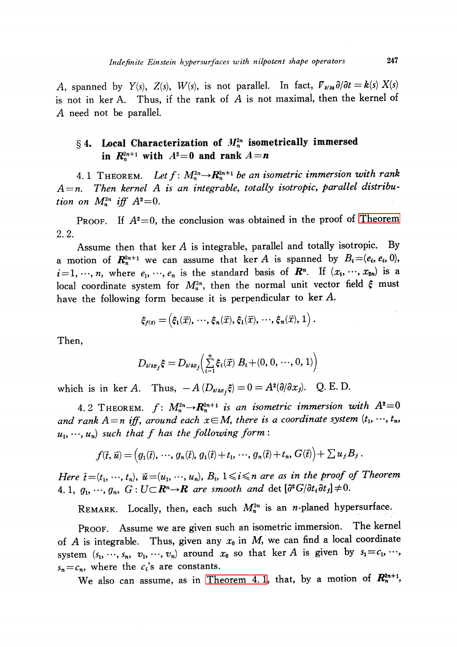A, spanned by  $Y(s)$ ,  $Z(s)$ ,  $W(s)$ , is not parallel. In fact,  $\mathcal{V}_{\rho/\rho s}\partial/\partial t=k(s)X(s)$ is not in ker A. Thus, if the rank of  $A$  is not maximal, then the kernel of A need not be parallel.

## $\S 4.$  Local Characterization of  $M_{n}^{2n}$  isometrically immersed in  $R_{n}^{2n+1}$  with  $A^{2}=0$  and rank  $A=n$

<span id="page-6-1"></span>4. 1 THEOREM. Let  $f: M_{n}^{2n}\rightarrow \mathbb{R}_{n}^{2n+1}$  be an isometric immersion with rank  $A=n$ . Then kernel A is an integrable, totally isotropic, parallel distribution on  $M_n^{2n}$  iff  $A^{2}=0$ .

PROOF. If  $A^{2}=0$ , the conclusion was obtained in the proof of [Theorem](#page-0-0) 2. 2.

Assume then that ker  $A$  is integrable, parallel and totally isotropic. By a motion of  $\mathbb{R}_n^{2n+1}$  we can assume that ker A is spanned by  $B_{i}=(e_{i}, e_{i}, 0)$ ,  $i$  =1, …, n, where  $e_{1}$ , …,  $e_{n}$  is the standard basis of  $\boldsymbol{R}^{n}$ . If  $(x_{1}$ , …,  $x_{2n})$  is a local coordinate system for  $M_{n}^{2n},$  then the normal unit vector field  $\xi$  must have the following form because it is perpendicular to ker A.

 $\xi_{f(\vec{x})}=(\xi_{1}(\vec{x}), \, \cdots, \xi_{n}(\vec{x}), \xi_{1}(\vec{x}), \, \cdots, \xi_{n}(\vec{x}), \, 1\,)$ 

Then,

$$
D_{\text{a/ax}_j}\xi=D_{\text{a/ax}_j}\Big(\sum_{i=1}^n \xi_i(\vec{x})\ B_i\!+\!(0,0,\,\cdots\!,0,1)\Big)
$$

which is in ker A. Thus,  $-A(D_{\rho/\partial x_{f}}\xi)=0=A^{2}(\partial/\partial x_{f})$ . Q. E. D.

<span id="page-6-0"></span>4. 2 THEOREM.  $f: M_{n}^{2n}\rightarrow R_{n}^{2n+1}$  is an isometric immersion with  $A^{2}=0$ and rank  $A\!=\!n$  iff, around each  $x\!\in\! M$ , there is a coordinate system  $(t_{1} ,\cdots\!, t_{n} ,$  $u_{1}$ ,  $\cdots$  $(u_{n})$  such that f has the following form:

$$
f(\vec{t},\vec{u}) = (g_1(\vec{t}),\,\cdots,\,g_n(\vec{t}),\,g_1(\vec{t})+t_1,\,\cdots,\,g_n(\vec{t})+t_n,\,G(\vec{t})\big) + \sum u_j B_j.
$$

Here  $\tilde{t} = (t_{1}$ ,  $\cdots$ ,  $t_{n}$ ),  $\tilde{u} = (u_{1}, \cdots, u_{n})$ ,  $B_{i}$ ,  $1 \leqslant i \leqslant n$  are as in the proof of Theorem  $4.~1,~g_{1} , \, \cdots , g_{n} ,~G:U\!\!\subset\!\boldsymbol{R}^{n}{\rightarrow} \boldsymbol{R} ~ ~are~ smooth ~ ~and ~ \det \left[\partial^{2}G/\partial t_{i}\partial t_{j}\right]\neq 0.$ 

REMARK. Locally, then, each such  $M_{n}^{2n}$  is an n-planed hypersurface.

PROOF. Assume we are given such an isometric immersion. The kernel of A is integrable. Thus, given any  $x_{0}$  in M, we can find a local coordinate system  $(s_{1}, \ldots, s_{n}, v_{1}, \ldots, v_{n})$  around  $x_{0}$  so that ker A is given by  $s_{1}=c_{1} , \ldots,$  $s_{n}=c_{n}$ , where the  $c_{i}$ 's are constants.

We also can assume, as in [Theorem](#page-6-1) 4.1, that, by a motion of  $\mathbf{R}_{n}^{2n+1}$ ,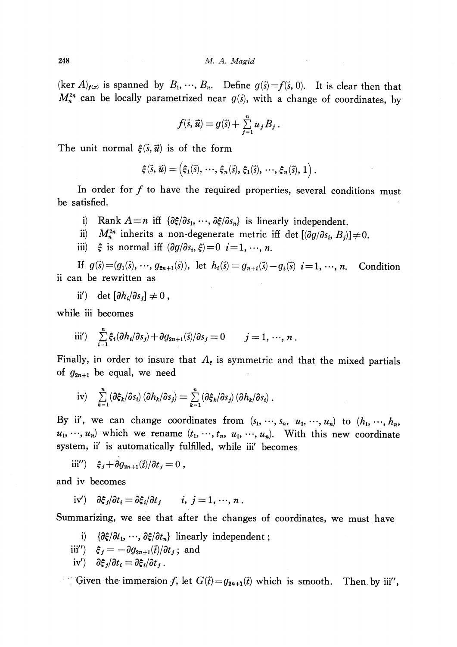248 M. A. Magid

 $(\ker A)_{f(x)}$  is spanned by  $B_{1}, \cdots, B_{n}$ . Define  $g(\vec{s}){=}f(\vec{s}, 0)$ . It is clear then that  $M_{n}^{2n}$  can be locally parametrized near  $g(\vec{s})$ , with a change of coordinates, by

$$
f(\vec{s},\vec{u})=g(\vec{s})+\sum_{j=1}^n u_jB_j.
$$

The unit normal  $\xi(\vec{s},\vec{u})$  is of the form

$$
\boldsymbol{\xi}(\vec{s},\vec{u}) = \left(\xi_1(\vec{s}),\,\cdots,\,\xi_n(\vec{s}),\,\xi_1(\vec{s}),\,\cdots,\,\xi_n(\vec{s}),\,1\right).
$$

In order for  $f$  to have the required properties, several conditions must be satisfied.

- i) Rank  $A=n$  iff  $\{\partial \xi/\partial s_{1},\dots, \partial \xi/\partial s_{n}\}$  is linearly independent.
- ii)  $M_{n}^{2n}$  inherits a non-degenerate metric iff det  $[(\partial g/\partial s_{i}, B_{j})]\neq 0$ .
- iii)  $\hat{\xi}$  is normal iff  $(\partial g/\partial s_{i}, \hat{\xi})=0$   $i=1, \ldots, n$ .

 $\hbox{If }\; g(\vec{s})\!=\!(g_{1}(\vec{s}), \,\cdots, \,g_{2n+1}(\vec{s})),\;\; \hbox{let }\; h_{i}(\vec{s})=g_{n+i}(\vec{s})-g_{i}(\vec{s})\;\; i\!=\!1, \,\cdots,$ **Condition** ii can be rewritten as

ii')  $\det [\partial h_{i}/\partial s_{j}]\neq 0$ ,

while iii becomes

iii') 
$$
\sum_{i=1}^n \xi_i(\partial h_i/\partial s_j) + \partial g_{2n+1}(\vec{s})/\partial s_j = 0 \qquad j = 1, \dots, n.
$$

Finally, in order to insure that  $A_{\varepsilon}$  is symmetric and that the mixed partials of  $g_{2n+1}$  be equal, we need

$$
iv) \quad \sum_{k=1}^n (\partial \xi_k / \partial s_i) (\partial h_k / \partial s_j) = \sum_{k=1}^n (\partial \xi_k / \partial s_j) (\partial h_k / \partial s_i) .
$$

By ii', we can change coordinates from  $(s_{1}$ ,  $\cdots, s_{n}$ ,  $u_{1}$ ,  $\cdots$ ,  $u_{n}$ ) to  $(h_{1}, \cdots, h_{n})$  $u_{1}, \dots, u_{n}$  which we rename  $(t_{1}, \dots, t_{n}, u_{1}, \dots, u_{n})$ . With this new coordinate system, ii' is automatically fulfilled, while iii' becomes

iii'')  $\xi_{j}+\partial g_{2n+1}(\vec{t})/\partial t_{j}=0$ ,

and iv becomes

$$
iv') \quad \partial \xi_j/\partial t_i = \partial \xi_i/\partial t_j \qquad i, j = 1, \dots, n.
$$

Summarizing, we see that after the changes of coordinates, we must have

i)  $\{\partial \xi/\partial t_{1},\cdots, \partial \xi/\partial t_{n}\}$  linearly independent;

- iii'')  $\xi_{j}=-\partial g_{2n+1}(\vec{t})/\partial t_{j}$ ; and
- $i{\rm v}')\quad \partial\xi_{j}/\partial t_{i}=\partial\xi_{i}/\partial t_{j}$ .

Given the immersion f, let  $G(\vec{t})=g_{2n+1}(\vec{t})$  which is smooth. Then by iii",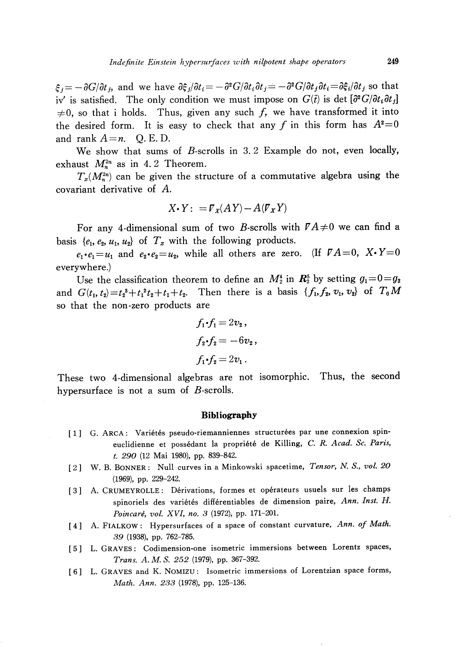$\zeta_{j}=-\partial G/\partial t_{j}$ , and we have  $\partial \xi_{j}/\partial t_{i}=-\partial^{2}G/\partial t_{i}\partial t_{j}=-\partial^{2}G/\partial t_{j}\partial t_{i}=\partial \xi_{i}/\partial t_{j}$  so that iv' is satisfied. The only condition we must impose on  $G(\vec{t})$  is det  $[\partial^{2}G/\partial t_{i}\partial t_{j}]$  $\neq 0$ , so that i holds. Thus, given any such f, we have transformed it into<br>the desired form. It is easy to check that any f in this form has  $A^2=0$ the desired form. It is easy to check that any f in this form has  $A^{2}=0$ and rank  $A=n$ . Q. E. D.

We show that sums of B-scrolls in 3.2 Example do not, even locally, exhaust  $M_{n}^{2n}$  as in 4. 2 Theorem.

 $T_{x}(M_{n}^{2n})$  can be given the structure of a commutative algebra using the covariant derivative of A.

$$
X \cdot Y: = \mathcal{F}_X (AY) - A(\mathcal{F}_X Y)
$$

For any 4-dimensional sum of two B-scrolls with  $\mathbb{P} A\neq 0$  we can find a basis  $\{e_{1}, e_{2}, u_{1}, u_{2}\}$  of  $T_{x}$  with the following products.

 $e_{1}\cdot e_{1}=u_{1}$  and  $e_{2}\cdot e_{2}=u_{2}$ , while all others are zero. (If  $\mathcal{V}A=0 , X\cdot Y=0$ everywhere.)

Use the classification theorem to define an  $M_{2}^{4}$  in  $R_{2}^{5}$  by setting  $g_{1}=0=g_{2}$ and  $G(t_{1}, t_{2})=t_{2}^{3}+t_{1}^{2}t_{2}+t_{1}+t_{2}$ . Then there is a basis  $\{f_{1}, f_{2}, v_{1}, v_{2}\}$  of  $T_{0}M$ so that the non-zero products are

$$
f_1 \cdot f_1 = 2v_2 ,
$$
  
\n
$$
f_2 \cdot f_2 = -6v_2 ,
$$
  
\n
$$
f_1 \cdot f_2 = 2v_1 .
$$

These two 4-dimensional algebras are not isomorphic. Thus, the second hypersurface is not a sum of  $B$ -scrolls.

#### Bibliography

- <span id="page-8-1"></span>[1] G. ARCA: Variétés pseudo-riemanniennes structurées par une connexion spineuclidienne et possédant la propriété de Killing, C. R. Acad. Sc. Paris, t. 290 (12 Mai 1980), pp. 839-842.
- <span id="page-8-5"></span>[2] W. B. BONNER: Null curves in a Minkowski spacetime, Tensor, N. S., vol. 20 (1969), pp. 229-242.
- <span id="page-8-2"></span>[3] A. CRUMEYROLLE: Dérivations, formes et opérateurs usuels sur les champs spinoriels des variétés différentiables de dimension paire, Ann. Inst. H. Poincaré, vol. XVI, no. 3 (1972), pp. 171-201.
- <span id="page-8-0"></span>[4] A. FIALKOW: Hypersurfaces of a space of constant curvature, Ann. of Math. 39 (1938), pp. 762-785.
- <span id="page-8-3"></span>[5] L. GRAVES: Codimension-one isometric immersions between Lorentz spaces, Trans. A. M. S. 252 (1979), pp. 367-392.
- <span id="page-8-4"></span>[6] L. GRAVES and K. NOMIZU: Isometric immersions of Lorentzian space forms, Math. Ann. 233 (1978), pp. 125-136.